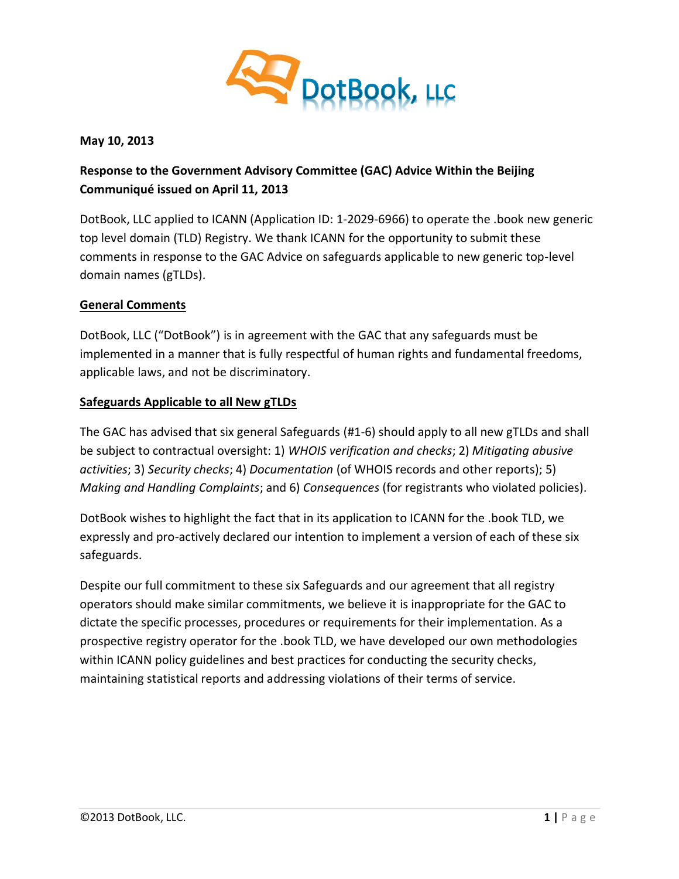

**May 10, 2013**

# **Response to the Government Advisory Committee (GAC) Advice Within the Beijing Communiqué issued on April 11, 2013**

DotBook, LLC applied to ICANN (Application ID: 1-2029-6966) to operate the .book new generic top level domain (TLD) Registry. We thank ICANN for the opportunity to submit these comments in response to the GAC Advice on safeguards applicable to new generic top-level domain names (gTLDs).

### **General Comments**

DotBook, LLC ("DotBook") is in agreement with the GAC that any safeguards must be implemented in a manner that is fully respectful of human rights and fundamental freedoms, applicable laws, and not be discriminatory.

### **Safeguards Applicable to all New gTLDs**

The GAC has advised that six general Safeguards (#1-6) should apply to all new gTLDs and shall be subject to contractual oversight: 1) *WHOIS verification and checks*; 2) *Mitigating abusive activities*; 3) *Security checks*; 4) *Documentation* (of WHOIS records and other reports); 5) *Making and Handling Complaints*; and 6) *Consequences* (for registrants who violated policies).

DotBook wishes to highlight the fact that in its application to ICANN for the .book TLD, we expressly and pro-actively declared our intention to implement a version of each of these six safeguards.

Despite our full commitment to these six Safeguards and our agreement that all registry operators should make similar commitments, we believe it is inappropriate for the GAC to dictate the specific processes, procedures or requirements for their implementation. As a prospective registry operator for the .book TLD, we have developed our own methodologies within ICANN policy guidelines and best practices for conducting the security checks, maintaining statistical reports and addressing violations of their terms of service.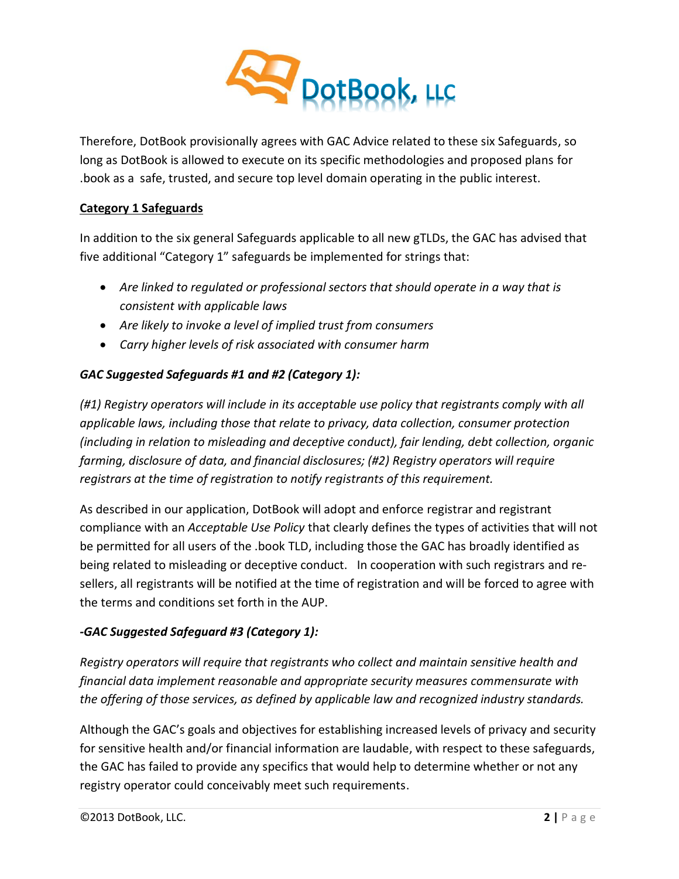

Therefore, DotBook provisionally agrees with GAC Advice related to these six Safeguards, so long as DotBook is allowed to execute on its specific methodologies and proposed plans for .book as a safe, trusted, and secure top level domain operating in the public interest.

### **Category 1 Safeguards**

In addition to the six general Safeguards applicable to all new gTLDs, the GAC has advised that five additional "Category 1" safeguards be implemented for strings that:

- *Are linked to regulated or professional sectors that should operate in a way that is consistent with applicable laws*
- *Are likely to invoke a level of implied trust from consumers*
- *Carry higher levels of risk associated with consumer harm*

## *GAC Suggested Safeguards #1 and #2 (Category 1):*

*(#1) Registry operators will include in its acceptable use policy that registrants comply with all applicable laws, including those that relate to privacy, data collection, consumer protection (including in relation to misleading and deceptive conduct), fair lending, debt collection, organic farming, disclosure of data, and financial disclosures; (#2) Registry operators will require registrars at the time of registration to notify registrants of this requirement.*

As described in our application, DotBook will adopt and enforce registrar and registrant compliance with an *Acceptable Use Policy* that clearly defines the types of activities that will not be permitted for all users of the .book TLD, including those the GAC has broadly identified as being related to misleading or deceptive conduct. In cooperation with such registrars and resellers, all registrants will be notified at the time of registration and will be forced to agree with the terms and conditions set forth in the AUP.

### *-GAC Suggested Safeguard #3 (Category 1):*

*Registry operators will require that registrants who collect and maintain sensitive health and financial data implement reasonable and appropriate security measures commensurate with the offering of those services, as defined by applicable law and recognized industry standards.*

Although the GAC's goals and objectives for establishing increased levels of privacy and security for sensitive health and/or financial information are laudable, with respect to these safeguards, the GAC has failed to provide any specifics that would help to determine whether or not any registry operator could conceivably meet such requirements.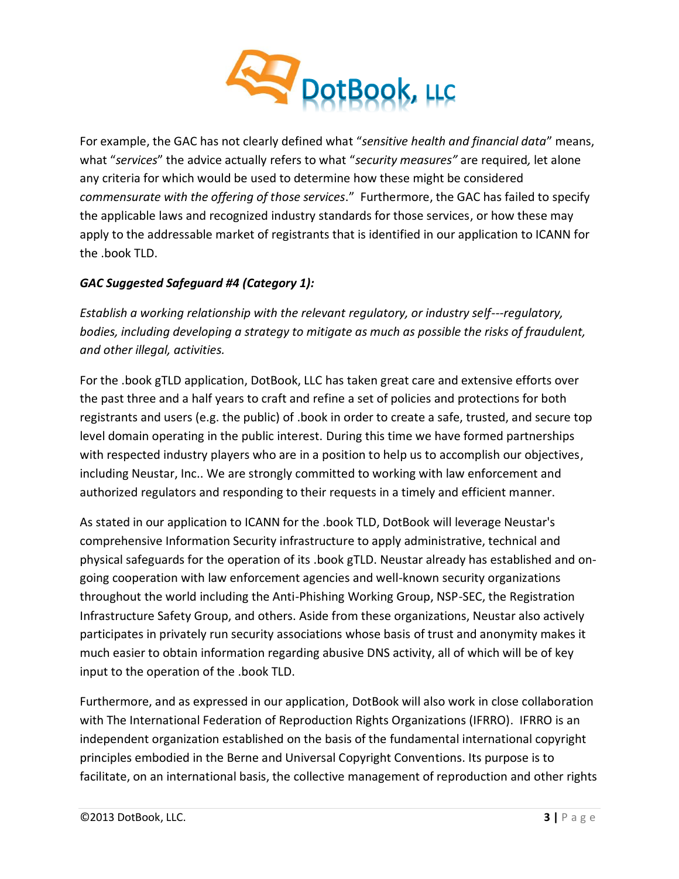

For example, the GAC has not clearly defined what "*sensitive health and financial data*" means, what "*services*" the advice actually refers to what "*security measures"* are required*,* let alone any criteria for which would be used to determine how these might be considered *commensurate with the offering of those services*." Furthermore, the GAC has failed to specify the applicable laws and recognized industry standards for those services, or how these may apply to the addressable market of registrants that is identified in our application to ICANN for the .book TLD.

## *GAC Suggested Safeguard #4 (Category 1):*

*Establish a working relationship with the relevant regulatory, or industry self-regulatory, bodies, including developing a strategy to mitigate as much as possible the risks of fraudulent, and other illegal, activities.*

For the .book gTLD application, DotBook, LLC has taken great care and extensive efforts over the past three and a half years to craft and refine a set of policies and protections for both registrants and users (e.g. the public) of .book in order to create a safe, trusted, and secure top level domain operating in the public interest. During this time we have formed partnerships with respected industry players who are in a position to help us to accomplish our objectives, including Neustar, Inc.. We are strongly committed to working with law enforcement and authorized regulators and responding to their requests in a timely and efficient manner.

As stated in our application to ICANN for the .book TLD, DotBook will leverage Neustar's comprehensive Information Security infrastructure to apply administrative, technical and physical safeguards for the operation of its .book gTLD. Neustar already has established and ongoing cooperation with law enforcement agencies and well-known security organizations throughout the world including the Anti-Phishing Working Group, NSP-SEC, the Registration Infrastructure Safety Group, and others. Aside from these organizations, Neustar also actively participates in privately run security associations whose basis of trust and anonymity makes it much easier to obtain information regarding abusive DNS activity, all of which will be of key input to the operation of the .book TLD.

Furthermore, and as expressed in our application, DotBook will also work in close collaboration with The International Federation of Reproduction Rights Organizations (IFRRO). IFRRO is an independent organization established on the basis of the fundamental international copyright principles embodied in the Berne and Universal Copyright Conventions. Its purpose is to facilitate, on an international basis, the collective management of reproduction and other rights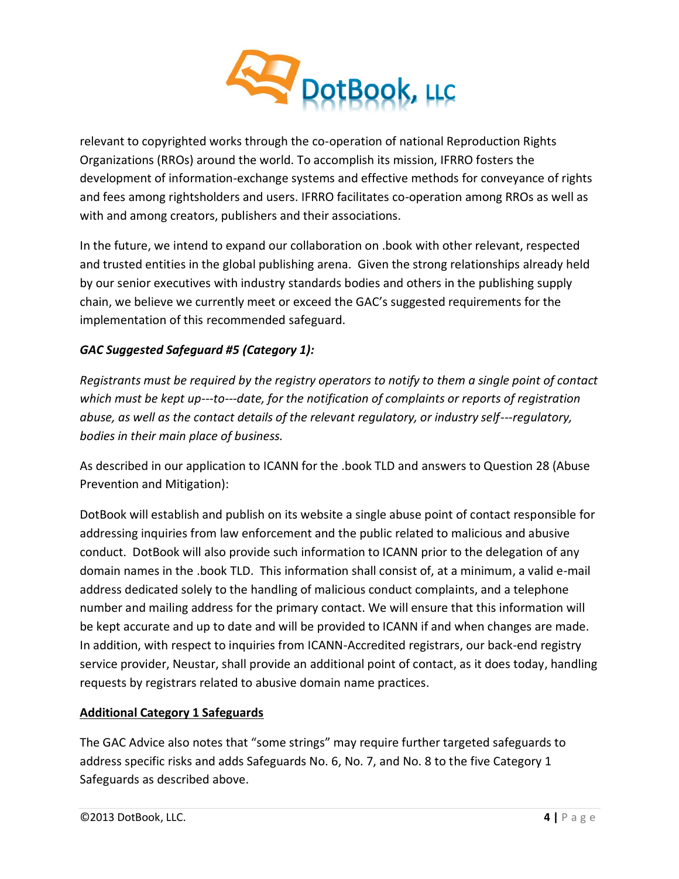

relevant to copyrighted works through the co-operation of national Reproduction Rights Organizations (RROs) around the world. To accomplish its mission, IFRRO fosters the development of information-exchange systems and effective methods for conveyance of rights and fees among rightsholders and users. IFRRO facilitates co-operation among RROs as well as with and among creators, publishers and their associations.

In the future, we intend to expand our collaboration on .book with other relevant, respected and trusted entities in the global publishing arena. Given the strong relationships already held by our senior executives with industry standards bodies and others in the publishing supply chain, we believe we currently meet or exceed the GAC's suggested requirements for the implementation of this recommended safeguard.

### *GAC Suggested Safeguard #5 (Category 1):*

*Registrants must be required by the registry operators to notify to them a single point of contact which must be kept up-to-date, for the notification of complaints or reports of registration abuse, as well as the contact details of the relevant regulatory, or industry self-regulatory, bodies in their main place of business.*

As described in our application to ICANN for the .book TLD and answers to Question 28 (Abuse Prevention and Mitigation):

DotBook will establish and publish on its website a single abuse point of contact responsible for addressing inquiries from law enforcement and the public related to malicious and abusive conduct. DotBook will also provide such information to ICANN prior to the delegation of any domain names in the .book TLD. This information shall consist of, at a minimum, a valid e-mail address dedicated solely to the handling of malicious conduct complaints, and a telephone number and mailing address for the primary contact. We will ensure that this information will be kept accurate and up to date and will be provided to ICANN if and when changes are made. In addition, with respect to inquiries from ICANN-Accredited registrars, our back-end registry service provider, Neustar, shall provide an additional point of contact, as it does today, handling requests by registrars related to abusive domain name practices.

### **Additional Category 1 Safeguards**

The GAC Advice also notes that "some strings" may require further targeted safeguards to address specific risks and adds Safeguards No. 6, No. 7, and No. 8 to the five Category 1 Safeguards as described above.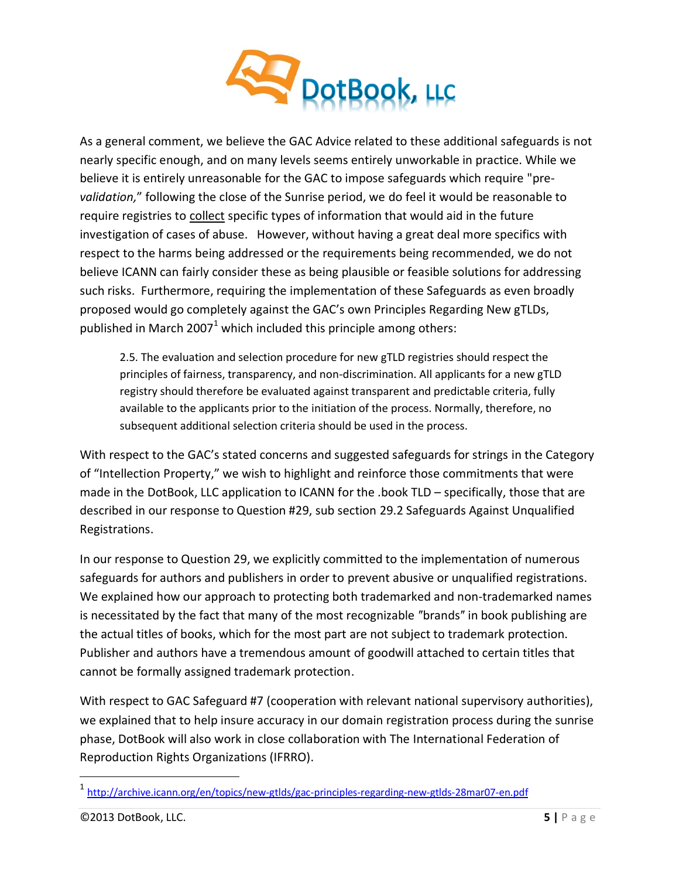

As a general comment, we believe the GAC Advice related to these additional safeguards is not nearly specific enough, and on many levels seems entirely unworkable in practice. While we believe it is entirely unreasonable for the GAC to impose safeguards which require "pre*validation,*" following the close of the Sunrise period, we do feel it would be reasonable to require registries to collect specific types of information that would aid in the future investigation of cases of abuse. However, without having a great deal more specifics with respect to the harms being addressed or the requirements being recommended, we do not believe ICANN can fairly consider these as being plausible or feasible solutions for addressing such risks. Furthermore, requiring the implementation of these Safeguards as even broadly proposed would go completely against the GAC's own Principles Regarding New gTLDs, published in March 2007<sup>1</sup> which included this principle among others:

2.5. The evaluation and selection procedure for new gTLD registries should respect the principles of fairness, transparency, and non-discrimination. All applicants for a new gTLD registry should therefore be evaluated against transparent and predictable criteria, fully available to the applicants prior to the initiation of the process. Normally, therefore, no subsequent additional selection criteria should be used in the process.

With respect to the GAC's stated concerns and suggested safeguards for strings in the Category of "Intellection Property," we wish to highlight and reinforce those commitments that were made in the DotBook, LLC application to ICANN for the .book TLD – specifically, those that are described in our response to Question #29, sub section 29.2 Safeguards Against Unqualified Registrations.

In our response to Question 29, we explicitly committed to the implementation of numerous safeguards for authors and publishers in order to prevent abusive or unqualified registrations. We explained how our approach to protecting both trademarked and non-trademarked names is necessitated by the fact that many of the most recognizable "brands" in book publishing are the actual titles of books, which for the most part are not subject to trademark protection. Publisher and authors have a tremendous amount of goodwill attached to certain titles that cannot be formally assigned trademark protection.

With respect to GAC Safeguard #7 (cooperation with relevant national supervisory authorities), we explained that to help insure accuracy in our domain registration process during the sunrise phase, DotBook will also work in close collaboration with The International Federation of Reproduction Rights Organizations (IFRRO).

 $\overline{a}$ 

<sup>1</sup> <http://archive.icann.org/en/topics/new-gtlds/gac-principles-regarding-new-gtlds-28mar07-en.pdf>